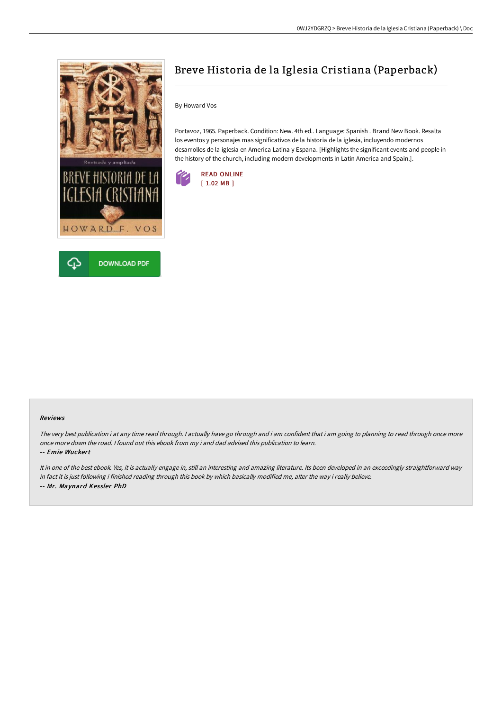



# Breve Historia de la Iglesia Cristiana (Paperback)

By Howard Vos

Portavoz, 1965. Paperback. Condition: New. 4th ed.. Language: Spanish . Brand New Book. Resalta los eventos y personajes mas significativos de la historia de la iglesia, incluyendo modernos desarrollos de la iglesia en America Latina y Espana. [Highlights the significant events and people in the history of the church, including modern developments in Latin America and Spain.].



#### Reviews

The very best publication i at any time read through. <sup>I</sup> actually have go through and i am confident that i am going to planning to read through once more once more down the road. I found out this ebook from my i and dad advised this publication to learn.

-- Emie Wuckert

It in one of the best ebook. Yes, it is actually engage in, still an interesting and amazing literature. Its been developed in an exceedingly straightforward way in fact it is just following i finished reading through this book by which basically modified me, alter the way i really believe. -- Mr. Maynard Kessler PhD